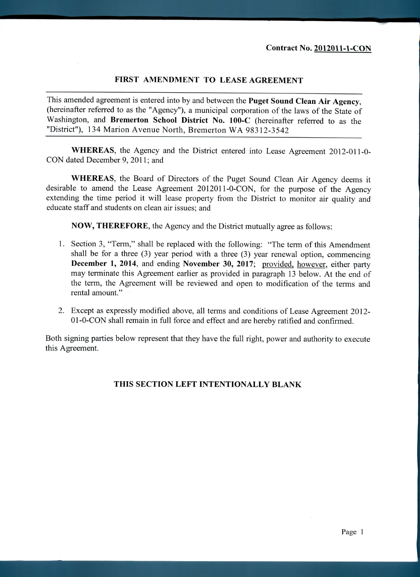## **FIRST AMENDMENT TO LEASE AGREEMENT**

This amended agreement is entered into by and between the **Puget Sound Clean Air Agency,** (hereinafter referred to as the "Agency"), a municipal corporation of the laws of the State of Washington, and **Bremerton School District No.** 100-C (hereinafter referred to as the "District"), 134 Marion Avenue North, Bremerton WA 98312-3542

**WHEREAS,** the Agency and the District entered into Lease Agreement 2012-011-0- CON dated December 9, 2011; and

**WHEREAS,** the Board of Directors of the Puget Sound Clean Air Agency deems it desirable to amend the Lease Agreement 2012011-0-CON, for the purpose of the Agency extending the time period it will lease property from the District to monitor air quality and educate staff and students on clean air issues; and

**NOW, THEREFORE,** the Agency and the District mutually agree as follows:

- 1. Section 3, "Term," shall be replaced with the following: "The term of this Amendment shall be for a three (3) year period with a three (3) year renewal option, commencing **December 1, 2014,** and ending **November 30, 2017;** provided, however, either party may terminate this Agreement earlier as provided in paragraph 13 below. At the end of the term, the Agreement will be reviewed and open to modification of the terms and rental amount."
- 2. Except as expressly modified above, all terms and conditions of Lease Agreement 2012- 01-0-CON shall remain in full force and effect and are hereby ratified and confirmed.

Both signing parties below represent that they have the full right, power and authority to execute this Agreement.

## **THIS SECTION LEFT INTENTIONALLY BLANK**